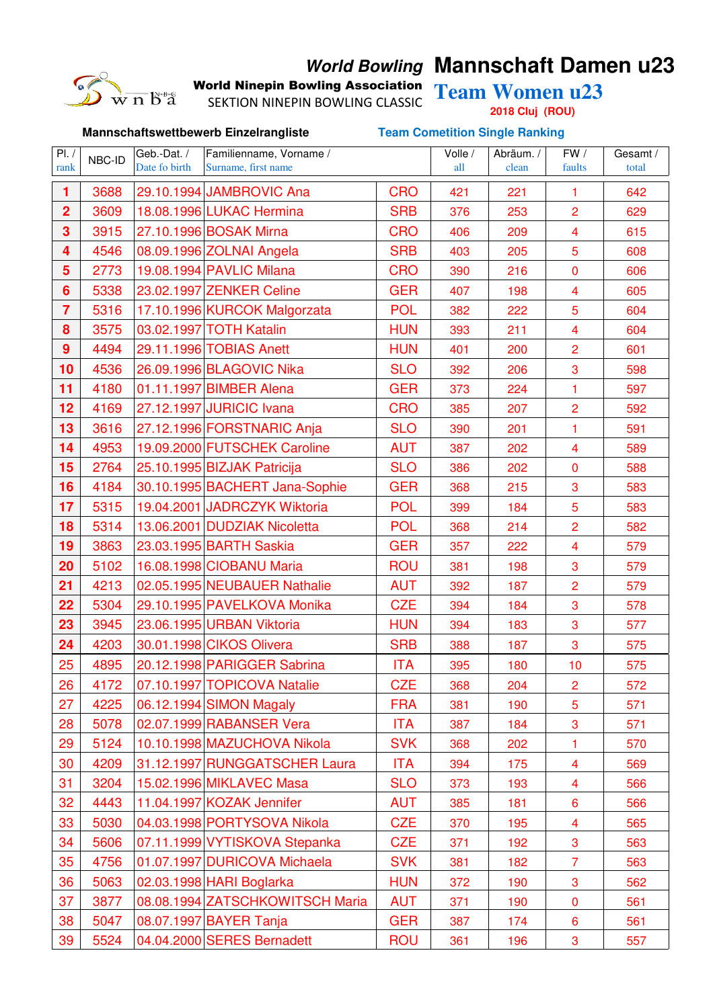

## **World Bowling Mannschaft Damen u23**

World Ninepin Bowling Association Team Women u23

**Mannschaftswettbewerb Einzelrangliste Team Cometition Single Ranking**

SEKTION NINEPIN BOWLING CLASSIC

**2018 Cluj (ROU)**

| PL /<br>rank            | NBC-ID | Geb.-Dat. /<br>Date fo birth | Familienname, Vorname /<br>Surname, first name |            | Volle /<br>all | Abräum. /<br>clean | FW /<br>faults          | Gesamt /<br>total |
|-------------------------|--------|------------------------------|------------------------------------------------|------------|----------------|--------------------|-------------------------|-------------------|
|                         |        |                              |                                                |            |                |                    |                         |                   |
| 1                       | 3688   |                              | 29.10.1994 JAMBROVIC Ana                       | <b>CRO</b> | 421            | 221                | 1                       | 642               |
| $\overline{\mathbf{2}}$ | 3609   |                              | 18.08.1996 LUKAC Hermina                       | <b>SRB</b> | 376            | 253                | $\overline{2}$          | 629               |
| 3                       | 3915   |                              | 27.10.1996 BOSAK Mirna                         | <b>CRO</b> | 406            | 209                | $\overline{\mathbf{4}}$ | 615               |
| 4                       | 4546   |                              | 08.09.1996 ZOLNAI Angela                       | <b>SRB</b> | 403            | 205                | 5                       | 608               |
| 5                       | 2773   |                              | 19.08.1994 PAVLIC Milana                       | <b>CRO</b> | 390            | 216                | $\mathbf 0$             | 606               |
| 6                       | 5338   |                              | 23.02.1997 ZENKER Celine                       | <b>GER</b> | 407            | 198                | $\overline{\mathbf{4}}$ | 605               |
| $\overline{7}$          | 5316   |                              | 17.10.1996 KURCOK Malgorzata                   | <b>POL</b> | 382            | 222                | 5                       | 604               |
| 8                       | 3575   |                              | 03.02.1997 TOTH Katalin                        | <b>HUN</b> | 393            | 211                | $\overline{\mathbf{4}}$ | 604               |
| $\boldsymbol{9}$        | 4494   |                              | 29.11.1996 TOBIAS Anett                        | <b>HUN</b> | 401            | 200                | $\overline{2}$          | 601               |
| 10                      | 4536   |                              | 26.09.1996 BLAGOVIC Nika                       | <b>SLO</b> | 392            | 206                | 3                       | 598               |
| 11                      | 4180   |                              | 01.11.1997 BIMBER Alena                        | <b>GER</b> | 373            | 224                | $\overline{1}$          | 597               |
| 12                      | 4169   |                              | 27.12.1997 JURICIC Ivana                       | <b>CRO</b> | 385            | 207                | $\overline{2}$          | 592               |
| 13                      | 3616   |                              | 27.12.1996 FORSTNARIC Anja                     | <b>SLO</b> | 390            | 201                | $\mathbf{1}$            | 591               |
| 14                      | 4953   |                              | 19.09.2000 FUTSCHEK Caroline                   | <b>AUT</b> | 387            | 202                | $\overline{\mathbf{4}}$ | 589               |
| 15                      | 2764   |                              | 25.10.1995 BIZJAK Patricija                    | <b>SLO</b> | 386            | 202                | $\mathbf 0$             | 588               |
| 16                      | 4184   |                              | 30.10.1995 BACHERT Jana-Sophie                 | <b>GER</b> | 368            | 215                | 3                       | 583               |
| 17                      | 5315   |                              | 19.04.2001 JADRCZYK Wiktoria                   | <b>POL</b> | 399            | 184                | 5                       | 583               |
| 18                      | 5314   |                              | 13.06.2001 DUDZIAK Nicoletta                   | <b>POL</b> | 368            | 214                | $\overline{2}$          | 582               |
| 19                      | 3863   |                              | 23.03.1995 BARTH Saskia                        | <b>GER</b> | 357            | 222                | $\overline{\mathbf{4}}$ | 579               |
| 20                      | 5102   |                              | 16.08.1998 CIOBANU Maria                       | <b>ROU</b> | 381            | 198                | 3                       | 579               |
| 21                      | 4213   |                              | 02.05.1995 NEUBAUER Nathalie                   | <b>AUT</b> | 392            | 187                | $\overline{2}$          | 579               |
| 22                      | 5304   |                              | 29.10.1995 PAVELKOVA Monika                    | <b>CZE</b> | 394            | 184                | 3                       | 578               |
| 23                      | 3945   |                              | 23.06.1995 URBAN Viktoria                      | <b>HUN</b> | 394            | 183                | 3                       | 577               |
| 24                      | 4203   |                              | 30.01.1998 CIKOS Olivera                       | <b>SRB</b> | 388            | 187                | 3                       | 575               |
| 25                      | 4895   |                              | 20.12.1998 PARIGGER Sabrina                    | <b>ITA</b> | 395            | 180                | 10                      | 575               |
| 26                      | 4172   |                              | 07.10.1997 TOPICOVA Natalie                    | <b>CZE</b> | 368            | 204                | 2                       | 572               |
| 27                      | 4225   |                              | 06.12.1994 SIMON Magaly                        | <b>FRA</b> | 381            | 190                | 5                       | 571               |
| 28                      | 5078   |                              | 02.07.1999 RABANSER Vera                       | <b>ITA</b> | 387            | 184                | 3                       | 571               |
| 29                      | 5124   |                              | 10.10.1998 MAZUCHOVA Nikola                    | <b>SVK</b> | 368            | 202                | 1                       | 570               |
| 30                      | 4209   |                              | 31.12.1997 RUNGGATSCHER Laura                  | <b>ITA</b> | 394            | 175                | 4                       | 569               |
| 31                      | 3204   |                              | 15.02.1996 MIKLAVEC Masa                       | <b>SLO</b> | 373            | 193                | $\overline{\mathbf{4}}$ | 566               |
| 32                      | 4443   |                              | 11.04.1997 KOZAK Jennifer                      | <b>AUT</b> | 385            | 181                | 6                       | 566               |
| 33                      | 5030   |                              | 04.03.1998 PORTYSOVA Nikola                    | <b>CZE</b> | 370            | 195                | $\overline{\mathbf{4}}$ | 565               |
| 34                      | 5606   |                              | 07.11.1999 VYTISKOVA Stepanka                  | <b>CZE</b> | 371            | 192                | 3                       | 563               |
| 35                      | 4756   |                              | 01.07.1997 DURICOVA Michaela                   | <b>SVK</b> | 381            | 182                | $\overline{7}$          | 563               |
| 36                      | 5063   |                              | 02.03.1998 HARI Boglarka                       | <b>HUN</b> | 372            | 190                | 3                       | 562               |
| 37                      | 3877   |                              | 08.08.1994 ZATSCHKOWITSCH Maria                | <b>AUT</b> | 371            | 190                | 0                       | 561               |
| 38                      | 5047   |                              | 08.07.1997 BAYER Tanja                         | <b>GER</b> | 387            | 174                | 6                       | 561               |
| 39                      | 5524   |                              | 04.04.2000 SERES Bernadett                     | <b>ROU</b> | 361            | 196                | 3                       | 557               |